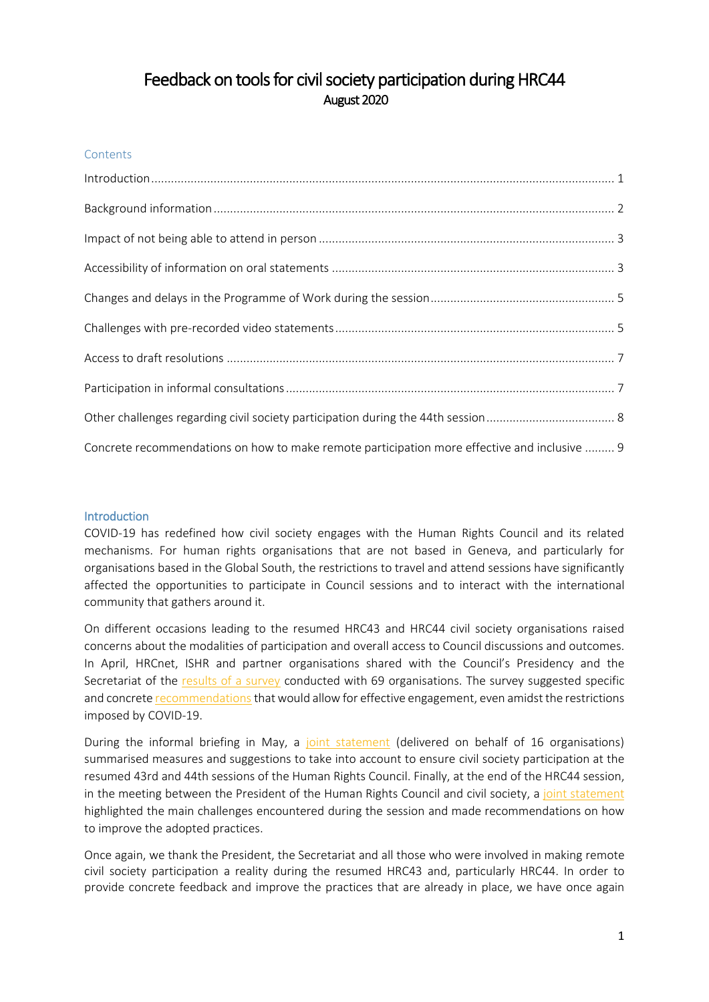# Feedback on tools for civil society participation during HRC44 August 2020

### **Contents**

| Concrete recommendations on how to make remote participation more effective and inclusive  9 |  |
|----------------------------------------------------------------------------------------------|--|

### <span id="page-0-0"></span>**Introduction**

COVID-19 has redefined how civil society engages with the Human Rights Council and its related mechanisms. For human rights organisations that are not based in Geneva, and particularly for organisations based in the Global South, the restrictions to travel and attend sessions have significantly affected the opportunities to participate in Council sessions and to interact with the international community that gathers around it.

On different occasions leading to the resumed HRC43 and HRC44 civil society organisations raised concerns about the modalities of participation and overall access to Council discussions and outcomes. In April, HRCnet, ISHR and partner organisations shared with the Council's Presidency and the Secretariat of the [results of a survey](https://drive.google.com/file/d/1gkIYDFSozGiyE4oR01xKzlaR2wI9f0MU/view?usp=sharing) conducted with 69 organisations. The survey suggested specific and concret[e recommendations](https://drive.google.com/file/d/1ubvylfZDqxChjwCG4Xo9x-0R8MLHaCPE/view?usp=sharing) that would allow for effective engagement, even amidst the restrictions imposed by COVID-19.

During the informal briefing in May, a [joint statement](https://www.conectas.org/wp/wp-content/uploads/2020/05/Letter-Civil-Society-Participation-HRC-44.pdf) (delivered on behalf of 16 organisations) summarised measures and suggestions to take into account to ensure civil society participation at the resumed 43rd and 44th sessions of the Human Rights Council. Finally, at the end of the HRC44 session, in the meeting between the President of the Human Rights Council and civil society, a [joint statement](https://sexualrightsinitiative.com/resources/hrc-44-joint-statement-hrc44-virtual-meeting-hrc-president-ngos) highlighted the main challenges encountered during the session and made recommendations on how to improve the adopted practices.

Once again, we thank the President, the Secretariat and all those who were involved in making remote civil society participation a reality during the resumed HRC43 and, particularly HRC44. In order to provide concrete feedback and improve the practices that are already in place, we have once again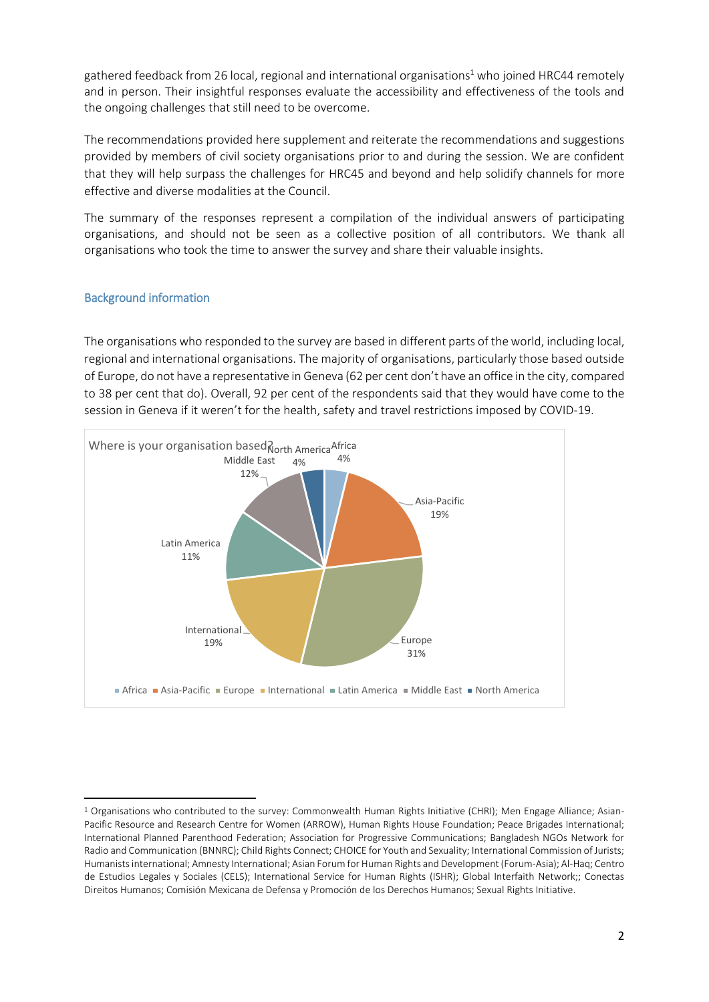gathered feedback from 26 local, regional and international organisations<sup>1</sup> who joined HRC44 remotely and in person. Their insightful responses evaluate the accessibility and effectiveness of the tools and the ongoing challenges that still need to be overcome.

The recommendations provided here supplement and reiterate the recommendations and suggestions provided by members of civil society organisations prior to and during the session. We are confident that they will help surpass the challenges for HRC45 and beyond and help solidify channels for more effective and diverse modalities at the Council.

The summary of the responses represent a compilation of the individual answers of participating organisations, and should not be seen as a collective position of all contributors. We thank all organisations who took the time to answer the survey and share their valuable insights.

### <span id="page-1-0"></span>Background information

**.** 

The organisations who responded to the survey are based in different parts of the world, including local, regional and international organisations. The majority of organisations, particularly those based outside of Europe, do not have a representative in Geneva (62 per cent don't have an office in the city, compared to 38 per cent that do). Overall, 92 per cent of the respondents said that they would have come to the session in Geneva if it weren't for the health, safety and travel restrictions imposed by COVID-19.



<sup>&</sup>lt;sup>1</sup> Organisations who contributed to the survey: Commonwealth Human Rights Initiative (CHRI); Men Engage Alliance; Asian-Pacific Resource and Research Centre for Women (ARROW), Human Rights House Foundation; Peace Brigades International; International Planned Parenthood Federation; Association for Progressive Communications; Bangladesh NGOs Network for Radio and Communication (BNNRC); Child Rights Connect; CHOICE for Youth and Sexuality; International Commission of Jurists; Humanists international; Amnesty International; Asian Forum for Human Rights and Development (Forum-Asia); Al-Haq; Centro de Estudios Legales y Sociales (CELS); International Service for Human Rights (ISHR); Global Interfaith Network;; Conectas Direitos Humanos; Comisión Mexicana de Defensa y Promoción de los Derechos Humanos; Sexual Rights Initiative.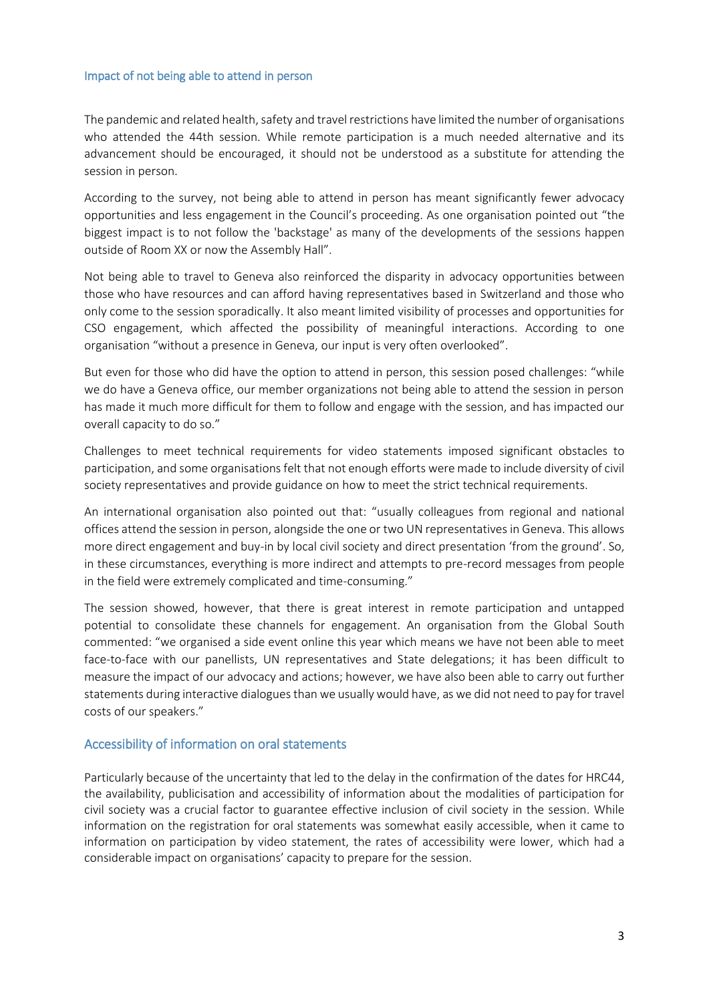#### <span id="page-2-0"></span>Impact of not being able to attend in person

The pandemic and related health, safety and travel restrictions have limited the number of organisations who attended the 44th session. While remote participation is a much needed alternative and its advancement should be encouraged, it should not be understood as a substitute for attending the session in person.

According to the survey, not being able to attend in person has meant significantly fewer advocacy opportunities and less engagement in the Council's proceeding. As one organisation pointed out "the biggest impact is to not follow the 'backstage' as many of the developments of the sessions happen outside of Room XX or now the Assembly Hall".

Not being able to travel to Geneva also reinforced the disparity in advocacy opportunities between those who have resources and can afford having representatives based in Switzerland and those who only come to the session sporadically. It also meant limited visibility of processes and opportunities for CSO engagement, which affected the possibility of meaningful interactions. According to one organisation "without a presence in Geneva, our input is very often overlooked".

But even for those who did have the option to attend in person, this session posed challenges: "while we do have a Geneva office, our member organizations not being able to attend the session in person has made it much more difficult for them to follow and engage with the session, and has impacted our overall capacity to do so."

Challenges to meet technical requirements for video statements imposed significant obstacles to participation, and some organisations felt that not enough efforts were made to include diversity of civil society representatives and provide guidance on how to meet the strict technical requirements.

An international organisation also pointed out that: "usually colleagues from regional and national offices attend the session in person, alongside the one or two UN representatives in Geneva. This allows more direct engagement and buy-in by local civil society and direct presentation 'from the ground'. So, in these circumstances, everything is more indirect and attempts to pre-record messages from people in the field were extremely complicated and time-consuming."

The session showed, however, that there is great interest in remote participation and untapped potential to consolidate these channels for engagement. An organisation from the Global South commented: "we organised a side event online this year which means we have not been able to meet face-to-face with our panellists, UN representatives and State delegations; it has been difficult to measure the impact of our advocacy and actions; however, we have also been able to carry out further statements during interactive dialogues than we usually would have, as we did not need to pay for travel costs of our speakers."

#### <span id="page-2-1"></span>Accessibility of information on oral statements

Particularly because of the uncertainty that led to the delay in the confirmation of the dates for HRC44, the availability, publicisation and accessibility of information about the modalities of participation for civil society was a crucial factor to guarantee effective inclusion of civil society in the session. While information on the registration for oral statements was somewhat easily accessible, when it came to information on participation by video statement, the rates of accessibility were lower, which had a considerable impact on organisations' capacity to prepare for the session.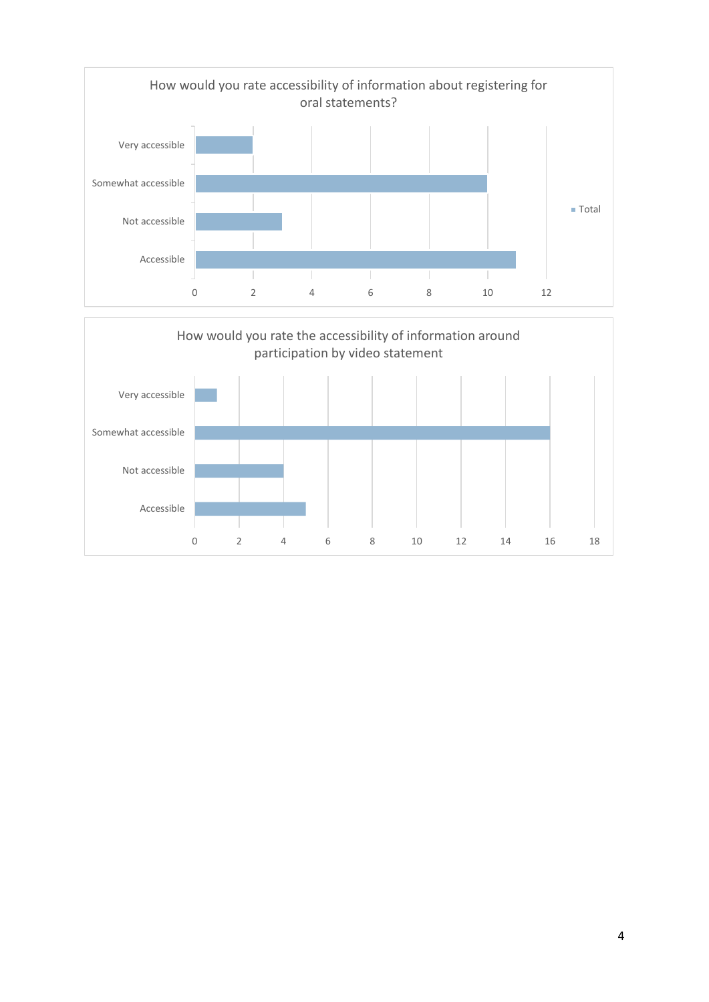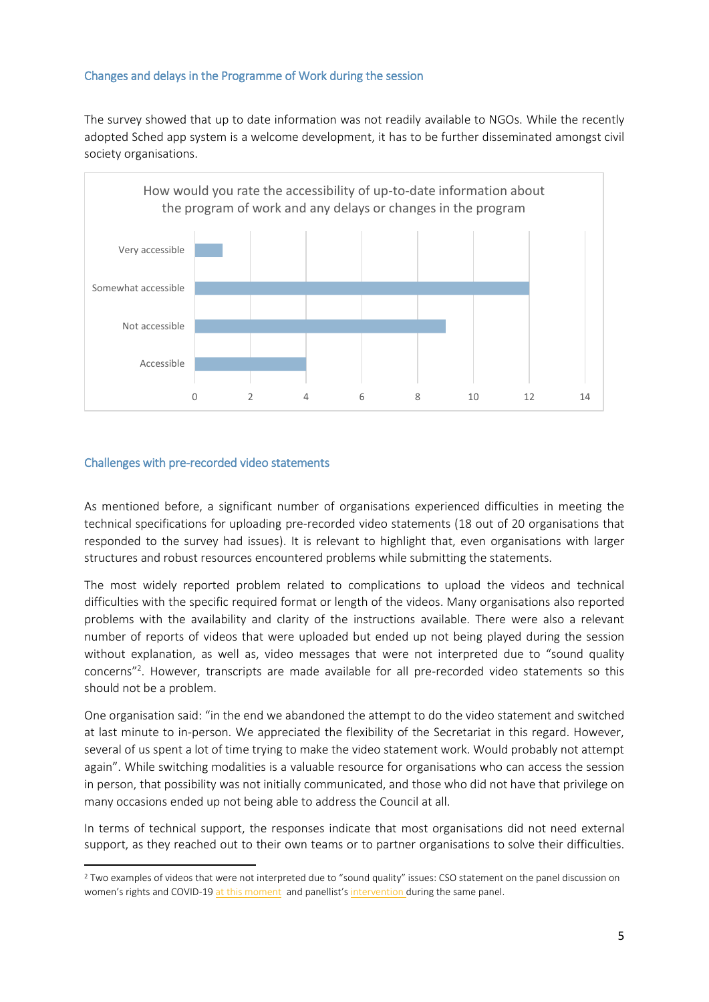### <span id="page-4-0"></span>Changes and delays in the Programme of Work during the session

The survey showed that up to date information was not readily available to NGOs. While the recently adopted Sched app system is a welcome development, it has to be further disseminated amongst civil society organisations.



#### <span id="page-4-1"></span>Challenges with pre-recorded video statements

**.** 

As mentioned before, a significant number of organisations experienced difficulties in meeting the technical specifications for uploading pre-recorded video statements (18 out of 20 organisations that responded to the survey had issues). It is relevant to highlight that, even organisations with larger structures and robust resources encountered problems while submitting the statements.

The most widely reported problem related to complications to upload the videos and technical difficulties with the specific required format or length of the videos. Many organisations also reported problems with the availability and clarity of the instructions available. There were also a relevant number of reports of videos that were uploaded but ended up not being played during the session without explanation, as well as, video messages that were not interpreted due to "sound quality concerns"<sup>2</sup>. However, transcripts are made available for all pre-recorded video statements so this should not be a problem.

One organisation said: "in the end we abandoned the attempt to do the video statement and switched at last minute to in-person. We appreciated the flexibility of the Secretariat in this regard. However, several of us spent a lot of time trying to make the video statement work. Would probably not attempt again". While switching modalities is a valuable resource for organisations who can access the session in person, that possibility was not initially communicated, and those who did not have that privilege on many occasions ended up not being able to address the Council at all.

In terms of technical support, the responses indicate that most organisations did not need external support, as they reached out to their own teams or to partner organisations to solve their difficulties.

<sup>&</sup>lt;sup>2</sup> Two examples of videos that were not interpreted due to "sound quality" issues: CSO statement on the panel discussion on women's rights and COVID-1[9 at this moment](http://webtv.un.org/live/watch/panel-discussion-on-covid-19-womens-rights-21st-meeting-44th-regular-session-human-rights-council-/6171492877001/#t=1h4m30s) and panellist's [intervention](http://webtv.un.org/search/panel-discussion-on-covid-19-womens-rights-21st-meeting-44th-regular-session-human-rights-council-/6171492877001/?term=&lan=english&cat=Human%20Rights%20Council&sort=date&page=5#t=1h41m50s) during the same panel.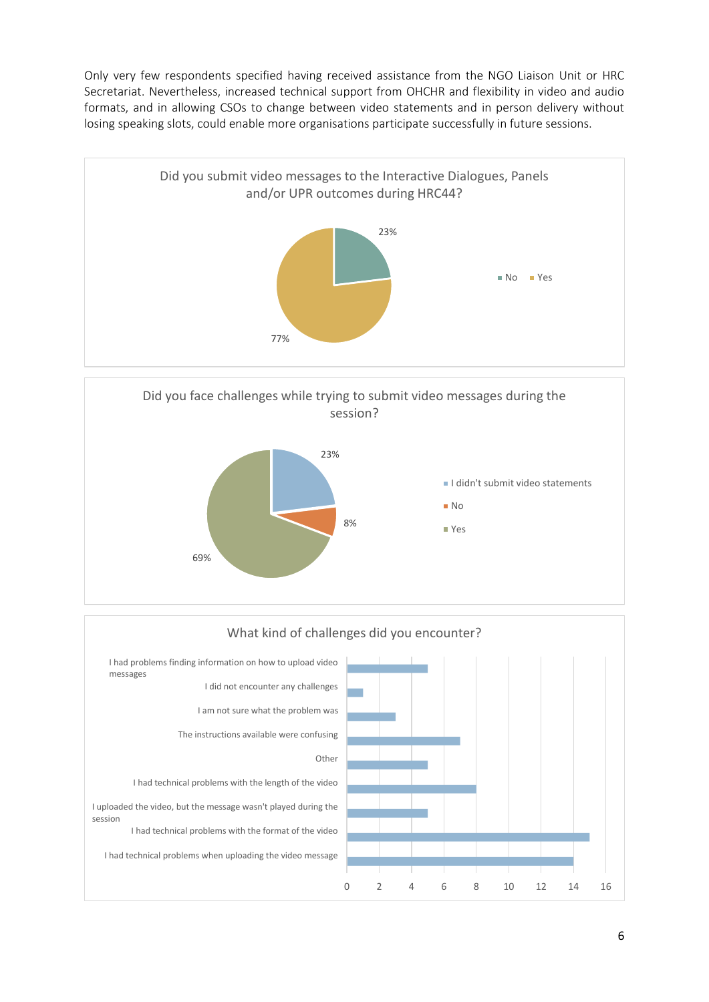Only very few respondents specified having received assistance from the NGO Liaison Unit or HRC Secretariat. Nevertheless, increased technical support from OHCHR and flexibility in video and audio formats, and in allowing CSOs to change between video statements and in person delivery without losing speaking slots, could enable more organisations participate successfully in future sessions.





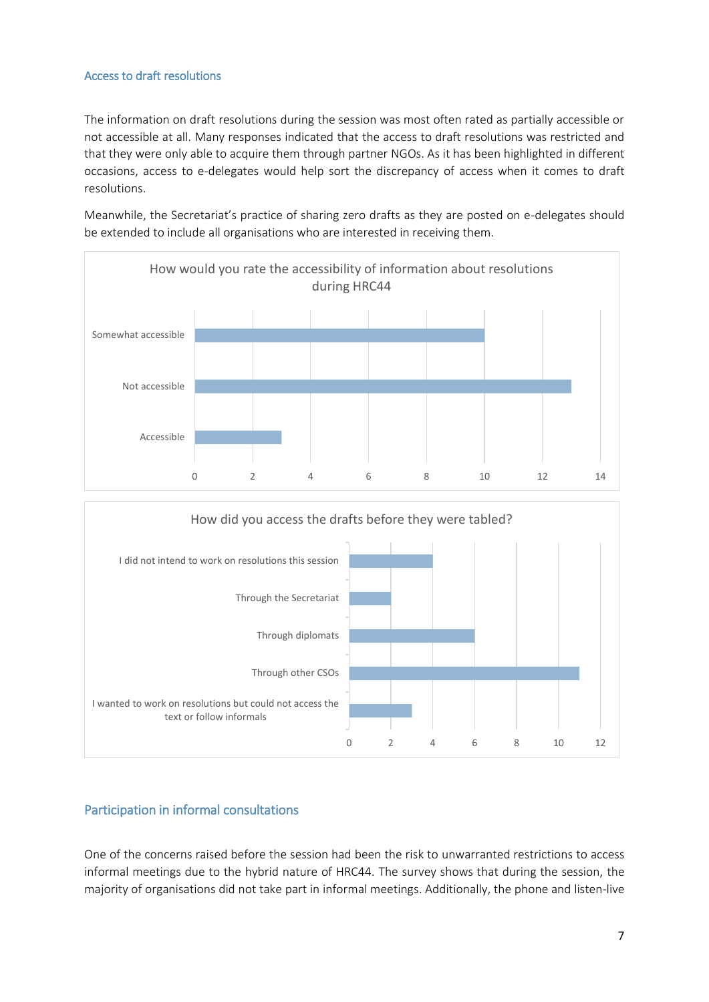## <span id="page-6-0"></span>Access to draft resolutions

The information on draft resolutions during the session was most often rated as partially accessible or not accessible at all. Many responses indicated that the access to draft resolutions was restricted and that they were only able to acquire them through partner NGOs. As it has been highlighted in different occasions, access to e-delegates would help sort the discrepancy of access when it comes to draft resolutions.

Meanwhile, the Secretariat's practice of sharing zero drafts as they are posted on e-delegates should be extended to include all organisations who are interested in receiving them.



# <span id="page-6-1"></span>Participation in informal consultations

I wanted to work on resolutions but could not access the text or follow informals

Through other CSOs

Through diplomats

One of the concerns raised before the session had been the risk to unwarranted restrictions to access informal meetings due to the hybrid nature of HRC44. The survey shows that during the session, the majority of organisations did not take part in informal meetings. Additionally, the phone and listen-live

0 2 4 6 8 10 12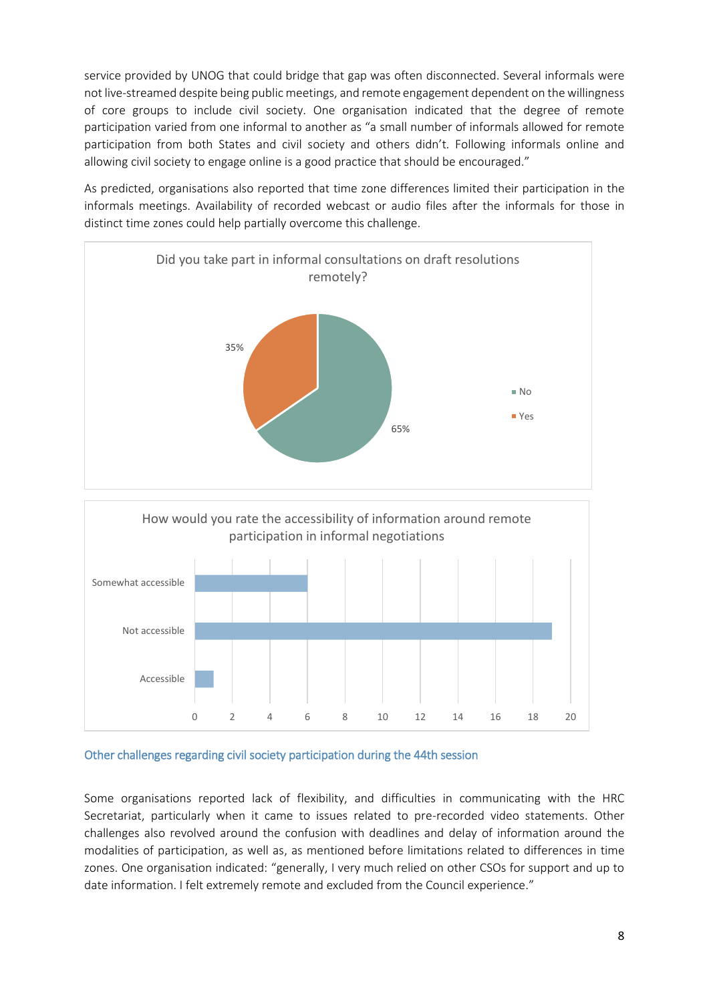service provided by UNOG that could bridge that gap was often disconnected. Several informals were not live-streamed despite being public meetings, and remote engagement dependent on the willingness of core groups to include civil society. One organisation indicated that the degree of remote participation varied from one informal to another as "a small number of informals allowed for remote participation from both States and civil society and others didn't. Following informals online and allowing civil society to engage online is a good practice that should be encouraged."

As predicted, organisations also reported that time zone differences limited their participation in the informals meetings. Availability of recorded webcast or audio files after the informals for those in distinct time zones could help partially overcome this challenge.



<span id="page-7-0"></span>

Accessible

Some organisations reported lack of flexibility, and difficulties in communicating with the HRC Secretariat, particularly when it came to issues related to pre-recorded video statements. Other challenges also revolved around the confusion with deadlines and delay of information around the modalities of participation, as well as, as mentioned before limitations related to differences in time zones. One organisation indicated: "generally, I very much relied on other CSOs for support and up to date information. I felt extremely remote and excluded from the Council experience."

0 2 4 6 8 10 12 14 16 18 20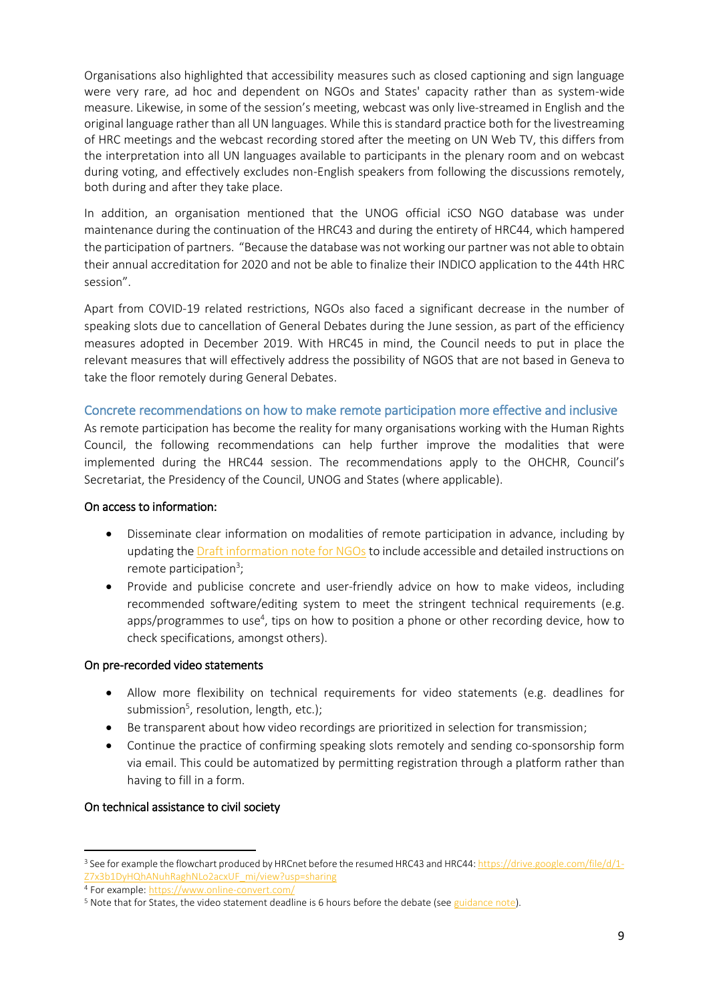Organisations also highlighted that accessibility measures such as closed captioning and sign language were very rare, ad hoc and dependent on NGOs and States' capacity rather than as system-wide measure. Likewise, in some of the session's meeting, webcast was only live-streamed in English and the original language rather than all UN languages. While this is standard practice both for the livestreaming of HRC meetings and the webcast recording stored after the meeting on UN Web TV, this differs from the interpretation into all UN languages available to participants in the plenary room and on webcast during voting, and effectively excludes non-English speakers from following the discussions remotely, both during and after they take place.

In addition, an organisation mentioned that the UNOG official iCSO NGO database was under maintenance during the continuation of the HRC43 and during the entirety of HRC44, which hampered the participation of partners. "Because the database was not working our partner was not able to obtain their annual accreditation for 2020 and not be able to finalize their INDICO application to the 44th HRC session".

Apart from COVID-19 related restrictions, NGOs also faced a significant decrease in the number of speaking slots due to cancellation of General Debates during the June session, as part of the efficiency measures adopted in December 2019. With HRC45 in mind, the Council needs to put in place the relevant measures that will effectively address the possibility of NGOS that are not based in Geneva to take the floor remotely during General Debates.

### <span id="page-8-0"></span>Concrete recommendations on how to make remote participation more effective and inclusive

As remote participation has become the reality for many organisations working with the Human Rights Council, the following recommendations can help further improve the modalities that were implemented during the HRC44 session. The recommendations apply to the OHCHR, Council's Secretariat, the Presidency of the Council, UNOG and States (where applicable).

### On access to information:

- Disseminate clear information on modalities of remote participation in advance, including by updating th[e Draft information note for NGOs](https://www.ohchr.org/Documents/HRBodies/HRCouncil/Information_note_NGOs_HRC44.docx) to include accessible and detailed instructions on remote participation<sup>3</sup>;
- Provide and publicise concrete and user-friendly advice on how to make videos, including recommended software/editing system to meet the stringent technical requirements (e.g. apps/programmes to use<sup>4</sup>, tips on how to position a phone or other recording device, how to check specifications, amongst others).

### On pre-recorded video statements

- Allow more flexibility on technical requirements for video statements (e.g. deadlines for submission<sup>5</sup>, resolution, length, etc.);
- Be transparent about how video recordings are prioritized in selection for transmission;
- Continue the practice of confirming speaking slots remotely and sending co-sponsorship form via email. This could be automatized by permitting registration through a platform rather than having to fill in a form.

### On technical assistance to civil society

1

<sup>3</sup> See for example the flowchart produced by HRCnet before the resumed HRC43 and HRC44[: https://drive.google.com/file/d/1-](https://drive.google.com/file/d/1-Z7x3b1DyHQhANuhRaghNLo2acxUF_mi/view?usp=sharing) [Z7x3b1DyHQhANuhRaghNLo2acxUF\\_mi/view?usp=sharing](https://drive.google.com/file/d/1-Z7x3b1DyHQhANuhRaghNLo2acxUF_mi/view?usp=sharing)

<sup>4</sup> For example:<https://www.online-convert.com/>

<sup>5</sup> Note that for States, the video statement deadline is 6 hours before the debate (se[e guidance note\)](https://extranet.ohchr.org/sites/hrc/HRCSessions/RegularSessions/43session/DL_List_of_Speakers/Guidelines%20list%20of%20speakers_HRC44.docx).